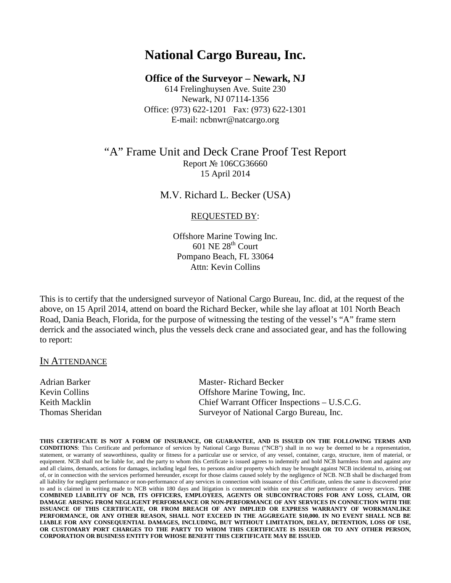# **National Cargo Bureau, Inc.**

## **Office of the Surveyor – Newark, NJ**

614 Frelinghuysen Ave. Suite 230 Newark, NJ 07114-1356 Office: (973) 622-1201 Fax: (973) 622-1301 E-mail: ncbnwr@natcargo.org

# "A" Frame Unit and Deck Crane Proof Test Report Report № 106CG36660 15 April 2014

M.V. Richard L. Becker (USA)

#### REQUESTED BY:

Offshore Marine Towing Inc.  $601$  NE  $28<sup>th</sup>$  Court Pompano Beach, FL 33064 Attn: Kevin Collins

This is to certify that the undersigned surveyor of National Cargo Bureau, Inc. did, at the request of the above, on 15 April 2014, attend on board the Richard Becker, while she lay afloat at 101 North Beach Road, Dania Beach, Florida, for the purpose of witnessing the testing of the vessel's "A" frame stern derrick and the associated winch, plus the vessels deck crane and associated gear, and has the following to report:

### IN ATTENDANCE

| Adrian Barker   | <b>Master-Richard Becker</b>                 |
|-----------------|----------------------------------------------|
| Kevin Collins   | Offshore Marine Towing, Inc.                 |
| Keith Macklin   | Chief Warrant Officer Inspections – U.S.C.G. |
| Thomas Sheridan | Surveyor of National Cargo Bureau, Inc.      |

**THIS CERTIFICATE IS NOT A FORM OF INSURANCE, OR GUARANTEE, AND IS ISSUED ON THE FOLLOWING TERMS AND CONDITIONS**: This Certificate and performance of services by National Cargo Bureau ("NCB") shall in no way be deemed to be a representation, statement, or warranty of seaworthiness, quality or fitness for a particular use or service, of any vessel, container, cargo, structure, item of material, or equipment. NCB shall not be liable for, and the party to whom this Certificate is issued agrees to indemnify and hold NCB harmless from and against any and all claims, demands, actions for damages, including legal fees, to persons and/or property which may be brought against NCB incidental to, arising out of, or in connection with the services performed hereunder, except for those claims caused solely by the negligence of NCB. NCB shall be discharged from all liability for negligent performance or non-performance of any services in connection with issuance of this Certificate, unless the same is discovered prior to and is claimed in writing made to NCB within 180 days and litigation is commenced within one year after performance of survey services. **THE COMBINED LIABILITY OF NCB, ITS OFFICERS, EMPLOYEES, AGENTS OR SUBCONTRACTORS FOR ANY LOSS, CLAIM, OR DAMAGE ARISING FROM NEGLIGENT PERFORMANCE OR NON-PERFORMANCE OF ANY SERVICES IN CONNECTION WITH THE ISSUANCE OF THIS CERTIFICATE, OR FROM BREACH OF ANY IMPLIED OR EXPRESS WARRANTY OF WORKMANLIKE PERFORMANCE, OR ANY OTHER REASON, SHALL NOT EXCEED IN THE AGGREGATE \$10,000. IN NO EVENT SHALL NCB BE LIABLE FOR ANY CONSEQUENTIAL DAMAGES, INCLUDING, BUT WITHOUT LIMITATION, DELAY, DETENTION, LOSS OF USE, OR CUSTOMARY PORT CHARGES TO THE PARTY TO WHOM THIS CERTIFICATE IS ISSUED OR TO ANY OTHER PERSON, CORPORATION OR BUSINESS ENTITY FOR WHOSE BENEFIT THIS CERTIFICATE MAY BE ISSUED.**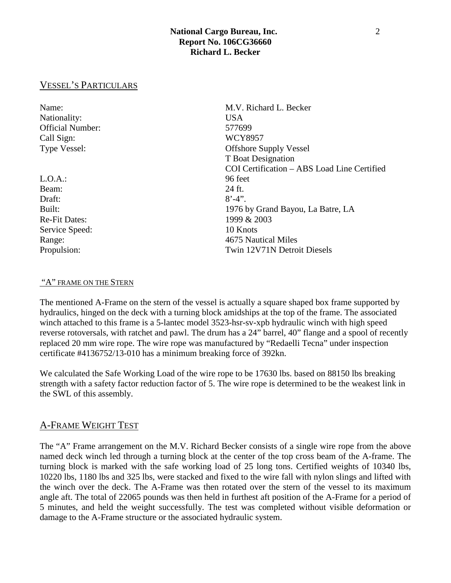# **National Cargo Bureau, Inc.** 2 **Report No. 106CG36660 Richard L. Becker**

# VESSEL'S PARTICULARS

| Name:                   | M.V. Richard L. Becker                      |
|-------------------------|---------------------------------------------|
| Nationality:            | <b>USA</b>                                  |
| <b>Official Number:</b> | 577699                                      |
| Call Sign:              | <b>WCY8957</b>                              |
| Type Vessel:            | <b>Offshore Supply Vessel</b>               |
|                         | T Boat Designation                          |
|                         | COI Certification – ABS Load Line Certified |
| $L.O.A.$ :              | 96 feet                                     |
| Beam:                   | 24 ft.                                      |
| Draft:                  | $8' - 4'$ .                                 |
| Built:                  | 1976 by Grand Bayou, La Batre, LA           |
| <b>Re-Fit Dates:</b>    | 1999 & 2003                                 |
| Service Speed:          | 10 Knots                                    |
| Range:                  | 4675 Nautical Miles                         |
| Propulsion:             | Twin 12V71N Detroit Diesels                 |

#### "A" FRAME ON THE STERN

The mentioned A-Frame on the stern of the vessel is actually a square shaped box frame supported by hydraulics, hinged on the deck with a turning block amidships at the top of the frame. The associated winch attached to this frame is a 5-lantec model 3523-hsr-sv-xpb hydraulic winch with high speed reverse rotoversals, with ratchet and pawl. The drum has a 24" barrel, 40" flange and a spool of recently replaced 20 mm wire rope. The wire rope was manufactured by "Redaelli Tecna" under inspection certificate #4136752/13-010 has a minimum breaking force of 392kn.

We calculated the Safe Working Load of the wire rope to be 17630 lbs. based on 88150 lbs breaking strength with a safety factor reduction factor of 5. The wire rope is determined to be the weakest link in the SWL of this assembly.

### A-FRAME WEIGHT TEST

The "A" Frame arrangement on the M.V. Richard Becker consists of a single wire rope from the above named deck winch led through a turning block at the center of the top cross beam of the A-frame. The turning block is marked with the safe working load of 25 long tons. Certified weights of 10340 lbs, 10220 lbs, 1180 lbs and 325 lbs, were stacked and fixed to the wire fall with nylon slings and lifted with the winch over the deck. The A-Frame was then rotated over the stern of the vessel to its maximum angle aft. The total of 22065 pounds was then held in furthest aft position of the A-Frame for a period of 5 minutes, and held the weight successfully. The test was completed without visible deformation or damage to the A-Frame structure or the associated hydraulic system.